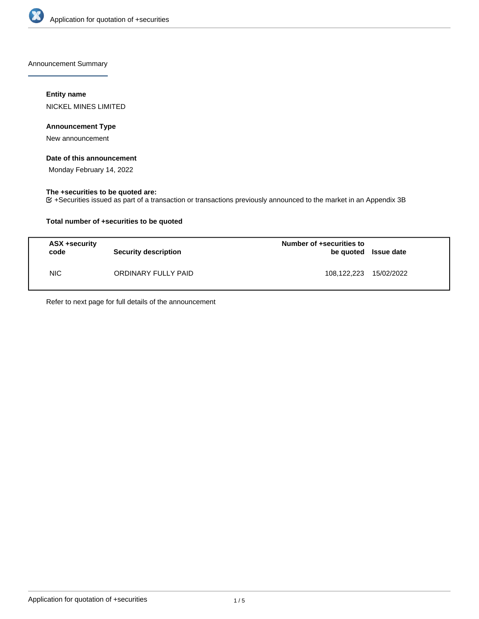

Announcement Summary

# **Entity name**

NICKEL MINES LIMITED

# **Announcement Type**

New announcement

# **Date of this announcement**

Monday February 14, 2022

# **The +securities to be quoted are:**

+Securities issued as part of a transaction or transactions previously announced to the market in an Appendix 3B

# **Total number of +securities to be quoted**

| <b>ASX +security</b><br>code | <b>Security description</b> | Number of +securities to<br>be quoted Issue date |            |
|------------------------------|-----------------------------|--------------------------------------------------|------------|
| NIC.                         | ORDINARY FULLY PAID         | 108,122,223                                      | 15/02/2022 |

Refer to next page for full details of the announcement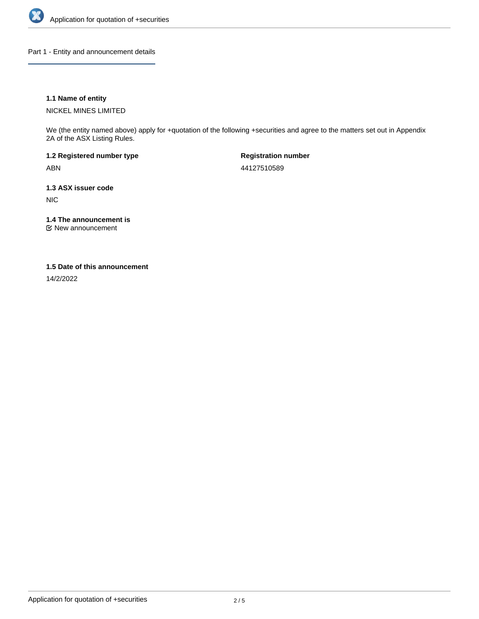

Part 1 - Entity and announcement details

# **1.1 Name of entity**

NICKEL MINES LIMITED

We (the entity named above) apply for +quotation of the following +securities and agree to the matters set out in Appendix 2A of the ASX Listing Rules.

**1.2 Registered number type** ABN

**Registration number** 44127510589

**1.3 ASX issuer code** NIC

**1.4 The announcement is**

New announcement

### **1.5 Date of this announcement**

14/2/2022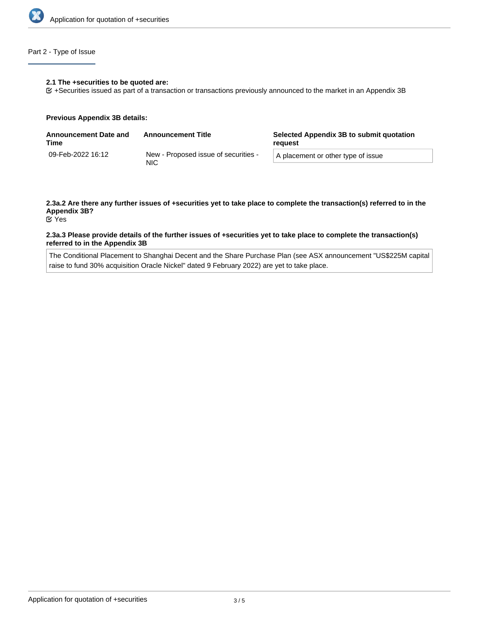

# Part 2 - Type of Issue

### **2.1 The +securities to be quoted are:**

+Securities issued as part of a transaction or transactions previously announced to the market in an Appendix 3B

### **Previous Appendix 3B details:**

| Announcement Date and<br>Time | <b>Announcement Title</b>                    | Selected Appendix 3B to submit quotation<br>reauest |
|-------------------------------|----------------------------------------------|-----------------------------------------------------|
| 09-Feb-2022 16:12             | New - Proposed issue of securities -<br>NIC. | A placement or other type of issue                  |

# **2.3a.2 Are there any further issues of +securities yet to take place to complete the transaction(s) referred to in the Appendix 3B?**

Yes

### **2.3a.3 Please provide details of the further issues of +securities yet to take place to complete the transaction(s) referred to in the Appendix 3B**

The Conditional Placement to Shanghai Decent and the Share Purchase Plan (see ASX announcement "US\$225M capital raise to fund 30% acquisition Oracle Nickel" dated 9 February 2022) are yet to take place.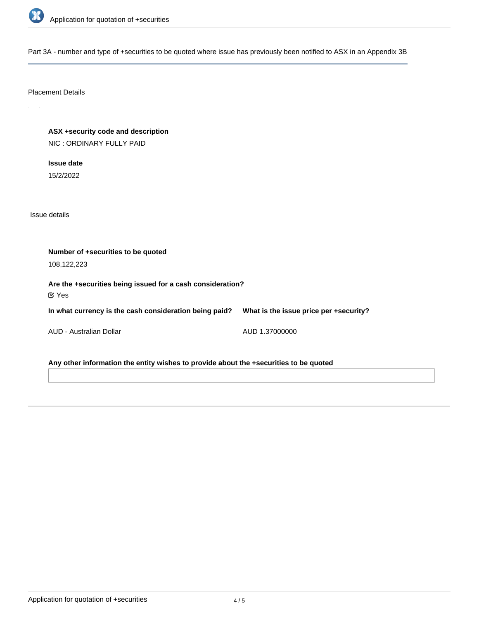

Part 3A - number and type of +securities to be quoted where issue has previously been notified to ASX in an Appendix 3B

# Placement Details

**ASX +security code and description** NIC : ORDINARY FULLY PAID

**Issue date** 15/2/2022

Issue details

| Number of +securities to be quoted<br>108,122,223                          |                                        |  |  |  |
|----------------------------------------------------------------------------|----------------------------------------|--|--|--|
| Are the +securities being issued for a cash consideration?<br>$\alpha$ Yes |                                        |  |  |  |
| In what currency is the cash consideration being paid?                     | What is the issue price per +security? |  |  |  |
| AUD - Australian Dollar                                                    | AUD 1.37000000                         |  |  |  |

**Any other information the entity wishes to provide about the +securities to be quoted**